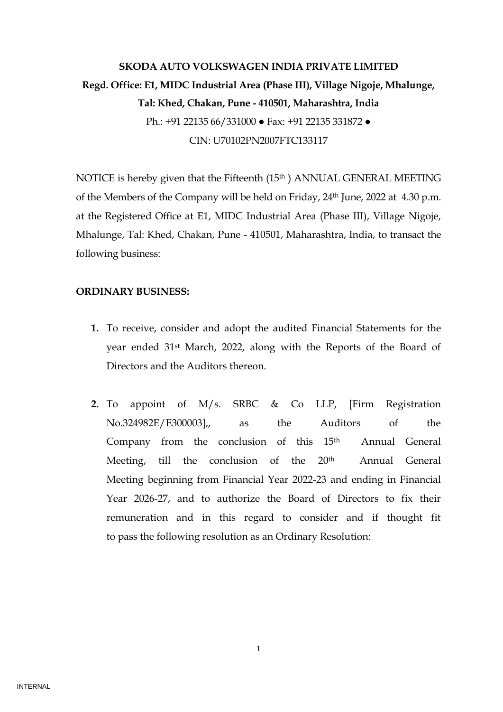# **SKODA AUTO VOLKSWAGEN INDIA PRIVATE LIMITED Regd. Office: E1, MIDC Industrial Area (Phase III), Village Nigoje, Mhalunge, Tal: Khed, Chakan, Pune - 410501, Maharashtra, India**  Ph.: +91 22135 66/331000 ● Fax: +91 22135 331872 ● CIN: U70102PN2007FTC133117

NOTICE is hereby given that the Fifteenth (15<sup>th</sup>) ANNUAL GENERAL MEETING of the Members of the Company will be held on Friday, 24th June, 2022 at 4.30 p.m. at the Registered Office at E1, MIDC Industrial Area (Phase III), Village Nigoje, Mhalunge, Tal: Khed, Chakan, Pune - 410501, Maharashtra, India, to transact the following business:

# **ORDINARY BUSINESS:**

- **1.** To receive, consider and adopt the audited Financial Statements for the year ended 31st March, 2022, along with the Reports of the Board of Directors and the Auditors thereon.
- **2.** To appoint of M/s. SRBC & Co LLP, [Firm Registration No.324982E/E300003],, as the Auditors of the Company from the conclusion of this 15<sup>th</sup> Annual General Meeting, till the conclusion of the 20<sup>th</sup> Annual General Meeting beginning from Financial Year 2022-23 and ending in Financial Year 2026-27, and to authorize the Board of Directors to fix their remuneration and in this regard to consider and if thought fit to pass the following resolution as an Ordinary Resolution:

1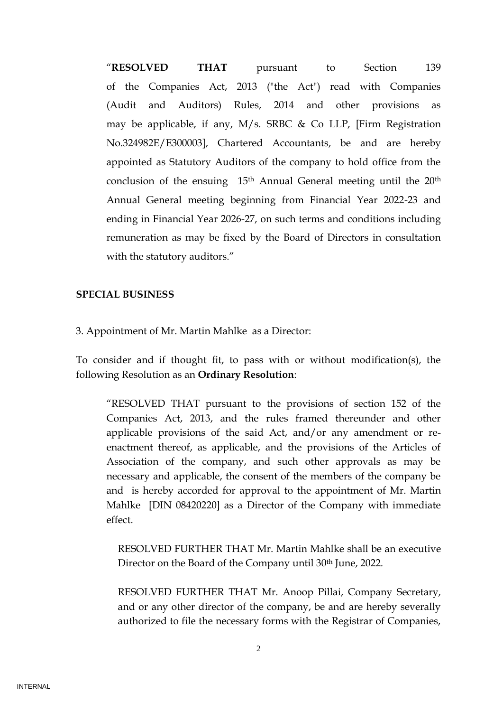"**RESOLVED THAT** pursuant to Section 139 of the Companies Act, 2013 ("the Act") read with Companies (Audit and Auditors) Rules, 2014 and other provisions as may be applicable, if any, M/s. SRBC & Co LLP, [Firm Registration No.324982E/E300003], Chartered Accountants, be and are hereby appointed as Statutory Auditors of the company to hold office from the conclusion of the ensuing 15<sup>th</sup> Annual General meeting until the 20<sup>th</sup> Annual General meeting beginning from Financial Year 2022-23 and ending in Financial Year 2026-27, on such terms and conditions including remuneration as may be fixed by the Board of Directors in consultation with the statutory auditors."

## **SPECIAL BUSINESS**

3. Appointment of Mr. Martin Mahlke as a Director:

To consider and if thought fit, to pass with or without modification(s), the following Resolution as an **Ordinary Resolution**:

"RESOLVED THAT pursuant to the provisions of section 152 of the Companies Act, 2013, and the rules framed thereunder and other applicable provisions of the said Act, and/or any amendment or reenactment thereof, as applicable, and the provisions of the Articles of Association of the company, and such other approvals as may be necessary and applicable, the consent of the members of the company be and is hereby accorded for approval to the appointment of Mr. Martin Mahlke [DIN 08420220] as a Director of the Company with immediate effect.

RESOLVED FURTHER THAT Mr. Martin Mahlke shall be an executive Director on the Board of the Company until 30<sup>th</sup> June, 2022.

RESOLVED FURTHER THAT Mr. Anoop Pillai, Company Secretary, and or any other director of the company, be and are hereby severally authorized to file the necessary forms with the Registrar of Companies,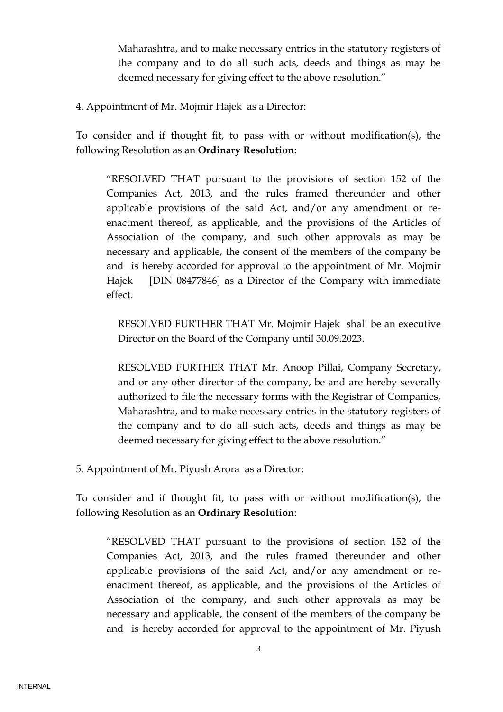Maharashtra, and to make necessary entries in the statutory registers of the company and to do all such acts, deeds and things as may be deemed necessary for giving effect to the above resolution."

4. Appointment of Mr. Mojmir Hajek as a Director:

To consider and if thought fit, to pass with or without modification(s), the following Resolution as an **Ordinary Resolution**:

"RESOLVED THAT pursuant to the provisions of section 152 of the Companies Act, 2013, and the rules framed thereunder and other applicable provisions of the said Act, and/or any amendment or reenactment thereof, as applicable, and the provisions of the Articles of Association of the company, and such other approvals as may be necessary and applicable, the consent of the members of the company be and is hereby accorded for approval to the appointment of Mr. Mojmir Hajek [DIN 08477846] as a Director of the Company with immediate effect.

RESOLVED FURTHER THAT Mr. Mojmir Hajek shall be an executive Director on the Board of the Company until 30.09.2023.

RESOLVED FURTHER THAT Mr. Anoop Pillai, Company Secretary, and or any other director of the company, be and are hereby severally authorized to file the necessary forms with the Registrar of Companies, Maharashtra, and to make necessary entries in the statutory registers of the company and to do all such acts, deeds and things as may be deemed necessary for giving effect to the above resolution."

5. Appointment of Mr. Piyush Arora as a Director:

To consider and if thought fit, to pass with or without modification(s), the following Resolution as an **Ordinary Resolution**:

"RESOLVED THAT pursuant to the provisions of section 152 of the Companies Act, 2013, and the rules framed thereunder and other applicable provisions of the said Act, and/or any amendment or reenactment thereof, as applicable, and the provisions of the Articles of Association of the company, and such other approvals as may be necessary and applicable, the consent of the members of the company be and is hereby accorded for approval to the appointment of Mr. Piyush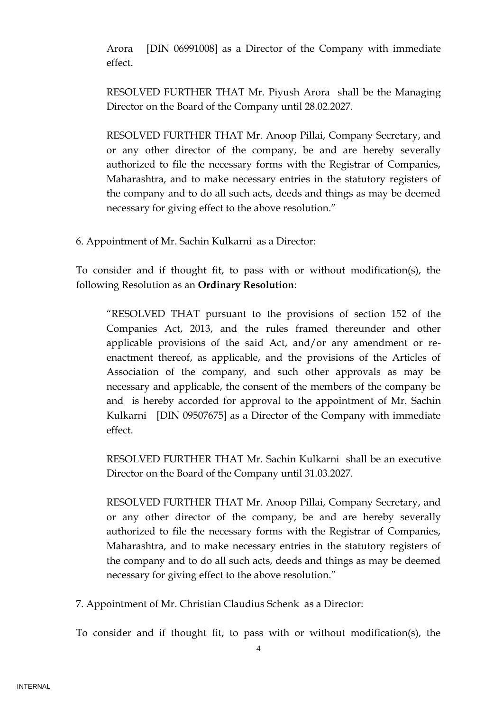Arora [DIN 06991008] as a Director of the Company with immediate effect.

RESOLVED FURTHER THAT Mr. Piyush Arora shall be the Managing Director on the Board of the Company until 28.02.2027.

RESOLVED FURTHER THAT Mr. Anoop Pillai, Company Secretary, and or any other director of the company, be and are hereby severally authorized to file the necessary forms with the Registrar of Companies, Maharashtra, and to make necessary entries in the statutory registers of the company and to do all such acts, deeds and things as may be deemed necessary for giving effect to the above resolution."

6. Appointment of Mr. Sachin Kulkarni as a Director:

To consider and if thought fit, to pass with or without modification(s), the following Resolution as an **Ordinary Resolution**:

"RESOLVED THAT pursuant to the provisions of section 152 of the Companies Act, 2013, and the rules framed thereunder and other applicable provisions of the said Act, and/or any amendment or reenactment thereof, as applicable, and the provisions of the Articles of Association of the company, and such other approvals as may be necessary and applicable, the consent of the members of the company be and is hereby accorded for approval to the appointment of Mr. Sachin Kulkarni [DIN 09507675] as a Director of the Company with immediate effect.

RESOLVED FURTHER THAT Mr. Sachin Kulkarni shall be an executive Director on the Board of the Company until 31.03.2027.

RESOLVED FURTHER THAT Mr. Anoop Pillai, Company Secretary, and or any other director of the company, be and are hereby severally authorized to file the necessary forms with the Registrar of Companies, Maharashtra, and to make necessary entries in the statutory registers of the company and to do all such acts, deeds and things as may be deemed necessary for giving effect to the above resolution."

7. Appointment of Mr. Christian Claudius Schenk as a Director:

To consider and if thought fit, to pass with or without modification(s), the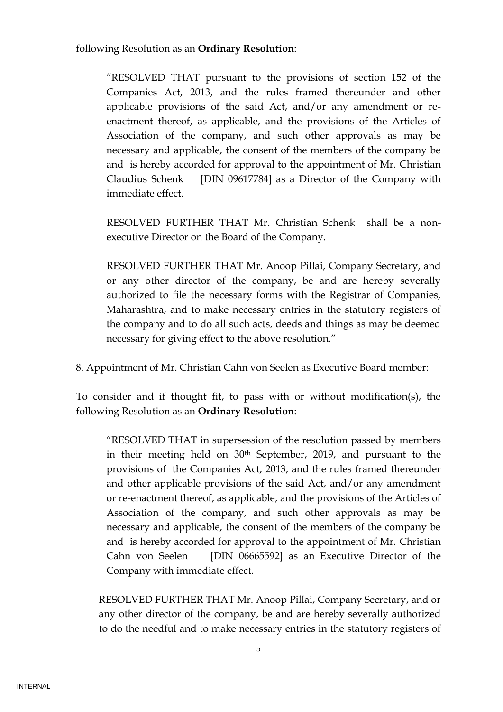following Resolution as an **Ordinary Resolution**:

"RESOLVED THAT pursuant to the provisions of section 152 of the Companies Act, 2013, and the rules framed thereunder and other applicable provisions of the said Act, and/or any amendment or reenactment thereof, as applicable, and the provisions of the Articles of Association of the company, and such other approvals as may be necessary and applicable, the consent of the members of the company be and is hereby accorded for approval to the appointment of Mr. Christian Claudius Schenk [DIN 09617784] as a Director of the Company with immediate effect.

RESOLVED FURTHER THAT Mr. Christian Schenk shall be a nonexecutive Director on the Board of the Company.

RESOLVED FURTHER THAT Mr. Anoop Pillai, Company Secretary, and or any other director of the company, be and are hereby severally authorized to file the necessary forms with the Registrar of Companies, Maharashtra, and to make necessary entries in the statutory registers of the company and to do all such acts, deeds and things as may be deemed necessary for giving effect to the above resolution."

8. Appointment of Mr. Christian Cahn von Seelen as Executive Board member:

To consider and if thought fit, to pass with or without modification(s), the following Resolution as an **Ordinary Resolution**:

"RESOLVED THAT in supersession of the resolution passed by members in their meeting held on 30th September, 2019, and pursuant to the provisions of the Companies Act, 2013, and the rules framed thereunder and other applicable provisions of the said Act, and/or any amendment or re-enactment thereof, as applicable, and the provisions of the Articles of Association of the company, and such other approvals as may be necessary and applicable, the consent of the members of the company be and is hereby accorded for approval to the appointment of Mr. Christian Cahn von Seelen [DIN 06665592] as an Executive Director of the Company with immediate effect.

RESOLVED FURTHER THAT Mr. Anoop Pillai, Company Secretary, and or any other director of the company, be and are hereby severally authorized to do the needful and to make necessary entries in the statutory registers of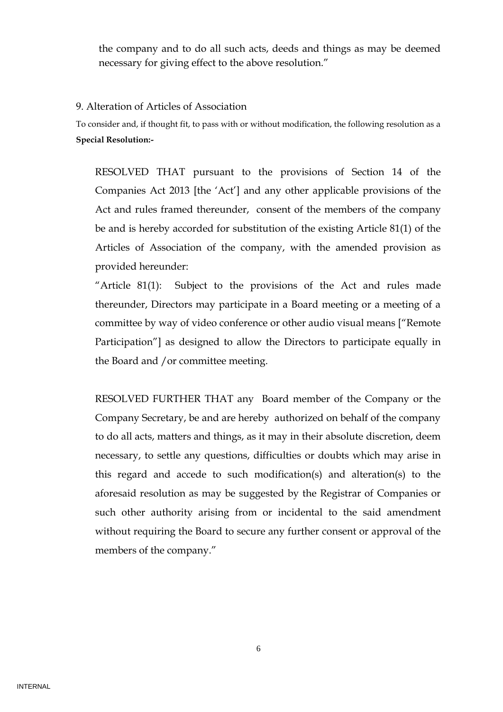the company and to do all such acts, deeds and things as may be deemed necessary for giving effect to the above resolution."

## 9. Alteration of Articles of Association

To consider and, if thought fit, to pass with or without modification, the following resolution as a **Special Resolution:-**

RESOLVED THAT pursuant to the provisions of Section 14 of the Companies Act 2013 [the 'Act'] and any other applicable provisions of the Act and rules framed thereunder, consent of the members of the company be and is hereby accorded for substitution of the existing Article 81(1) of the Articles of Association of the company, with the amended provision as provided hereunder:

"Article 81(1): Subject to the provisions of the Act and rules made thereunder, Directors may participate in a Board meeting or a meeting of a committee by way of video conference or other audio visual means ["Remote Participation"] as designed to allow the Directors to participate equally in the Board and /or committee meeting.

RESOLVED FURTHER THAT any Board member of the Company or the Company Secretary, be and are hereby authorized on behalf of the company to do all acts, matters and things, as it may in their absolute discretion, deem necessary, to settle any questions, difficulties or doubts which may arise in this regard and accede to such modification(s) and alteration(s) to the aforesaid resolution as may be suggested by the Registrar of Companies or such other authority arising from or incidental to the said amendment without requiring the Board to secure any further consent or approval of the members of the company."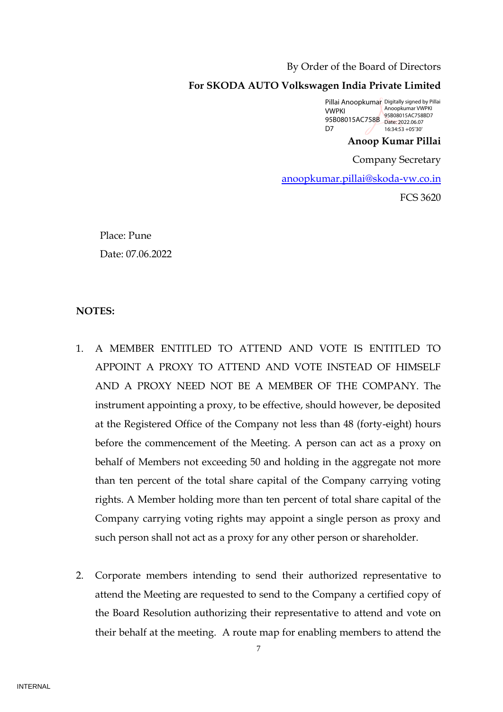#### By Order of the Board of Directors

#### **For SKODA AUTO Volkswagen India Private Limited**

Pillai Anoopkumar Digitally signed by Pillai **VWPKI** 95B08015AC758BD7<br>95B08015AC758B Date: 2022.06.07 D<sub>7</sub> Anoopkumar VWPKI Date: 2022.06.07 16:34:53 +05'30'

# **Anoop Kumar Pillai**

Company Secretary

[anoopkumar.pillai@skoda-vw.co.in](mailto:anoopkumar.pillai@skoda-vw.co.in)

FCS 3620

Place: Pune Date: 07.06.2022

#### **NOTES:**

- 1. A MEMBER ENTITLED TO ATTEND AND VOTE IS ENTITLED TO APPOINT A PROXY TO ATTEND AND VOTE INSTEAD OF HIMSELF AND A PROXY NEED NOT BE A MEMBER OF THE COMPANY. The instrument appointing a proxy, to be effective, should however, be deposited at the Registered Office of the Company not less than 48 (forty-eight) hours before the commencement of the Meeting. A person can act as a proxy on behalf of Members not exceeding 50 and holding in the aggregate not more than ten percent of the total share capital of the Company carrying voting rights. A Member holding more than ten percent of total share capital of the Company carrying voting rights may appoint a single person as proxy and such person shall not act as a proxy for any other person or shareholder.
- 2. Corporate members intending to send their authorized representative to attend the Meeting are requested to send to the Company a certified copy of the Board Resolution authorizing their representative to attend and vote on their behalf at the meeting. A route map for enabling members to attend the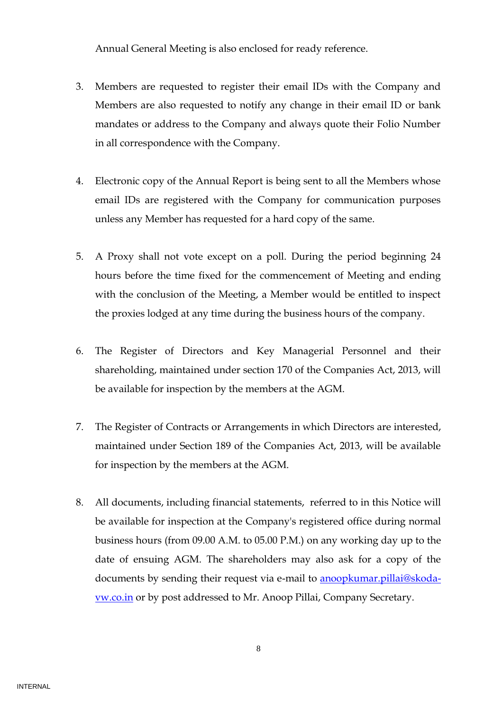Annual General Meeting is also enclosed for ready reference.

- 3. Members are requested to register their email IDs with the Company and Members are also requested to notify any change in their email ID or bank mandates or address to the Company and always quote their Folio Number in all correspondence with the Company.
- 4. Electronic copy of the Annual Report is being sent to all the Members whose email IDs are registered with the Company for communication purposes unless any Member has requested for a hard copy of the same.
- 5. A Proxy shall not vote except on a poll. During the period beginning 24 hours before the time fixed for the commencement of Meeting and ending with the conclusion of the Meeting, a Member would be entitled to inspect the proxies lodged at any time during the business hours of the company.
- 6. The Register of Directors and Key Managerial Personnel and their shareholding, maintained under section 170 of the Companies Act, 2013, will be available for inspection by the members at the AGM.
- 7. The Register of Contracts or Arrangements in which Directors are interested, maintained under Section 189 of the Companies Act, 2013, will be available for inspection by the members at the AGM.
- 8. All documents, including financial statements, referred to in this Notice will be available for inspection at the Company's registered office during normal business hours (from 09.00 A.M. to 05.00 P.M.) on any working day up to the date of ensuing AGM. The shareholders may also ask for a copy of the documents by sending their request via e-mail to [anoopkumar.pillai@skoda](mailto:anoopkumar.pillai@skoda-vw.co.in)[vw.co.in](mailto:anoopkumar.pillai@skoda-vw.co.in) or by post addressed to Mr. Anoop Pillai, Company Secretary.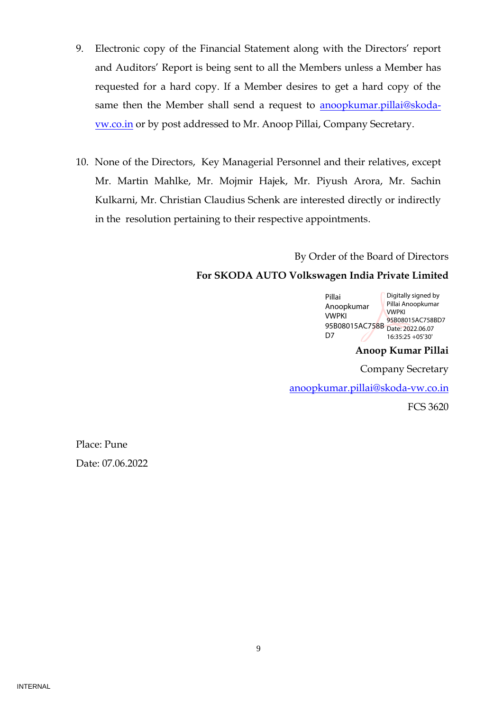- 9. Electronic copy of the Financial Statement along with the Directors' report and Auditors' Report is being sent to all the Members unless a Member has requested for a hard copy. If a Member desires to get a hard copy of the same then the Member shall send a request to **anoopkumar.pillai@skoda**[vw.co.in](mailto:anoopkumar.pillai@skoda-vw.co.in) or by post addressed to Mr. Anoop Pillai, Company Secretary.
- 10. None of the Directors, Key Managerial Personnel and their relatives, except Mr. Martin Mahlke, Mr. Mojmir Hajek, Mr. Piyush Arora, Mr. Sachin Kulkarni, Mr. Christian Claudius Schenk are interested directly or indirectly in the resolution pertaining to their respective appointments.

By Order of the Board of Directors

# **For SKODA AUTO Volkswagen India Private Limited**

|  | Pillai         | Digitally signed by |
|--|----------------|---------------------|
|  | Anoopkumar     | Pillai Anoopkumar   |
|  | <b>VWPKI</b>   | <b>VWPKI</b>        |
|  |                | 95B08015AC758BD7    |
|  | 95B08015AC758B | Date: 2022.06.07    |
|  | D7             | 16:35:25 +05'30'    |
|  |                |                     |

**Anoop Kumar Pillai**

Company Secretary

[anoopkumar.pillai@skoda-vw.co.in](mailto:anoopkumar.pillai@skoda-vw.co.in)

FCS 3620

Place: Pune Date: 07.06.2022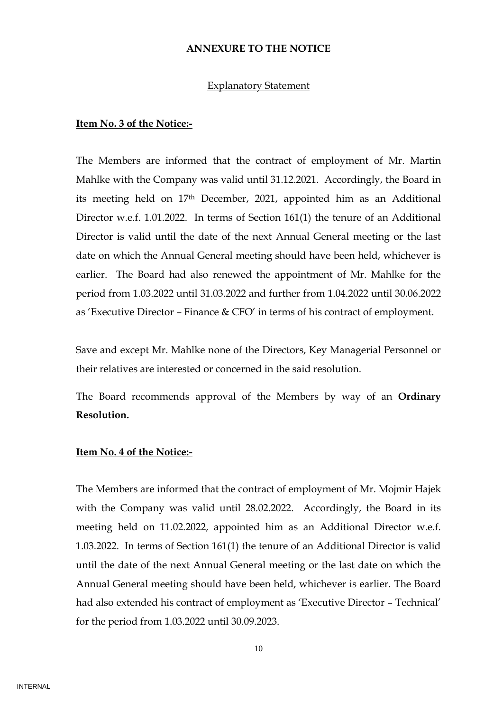#### **ANNEXURE TO THE NOTICE**

#### Explanatory Statement

#### **Item No. 3 of the Notice:-**

The Members are informed that the contract of employment of Mr. Martin Mahlke with the Company was valid until 31.12.2021. Accordingly, the Board in its meeting held on 17th December, 2021, appointed him as an Additional Director w.e.f. 1.01.2022. In terms of Section 161(1) the tenure of an Additional Director is valid until the date of the next Annual General meeting or the last date on which the Annual General meeting should have been held, whichever is earlier. The Board had also renewed the appointment of Mr. Mahlke for the period from 1.03.2022 until 31.03.2022 and further from 1.04.2022 until 30.06.2022 as 'Executive Director – Finance & CFO' in terms of his contract of employment.

Save and except Mr. Mahlke none of the Directors, Key Managerial Personnel or their relatives are interested or concerned in the said resolution.

The Board recommends approval of the Members by way of an **Ordinary Resolution.**

#### **Item No. 4 of the Notice:-**

The Members are informed that the contract of employment of Mr. Mojmir Hajek with the Company was valid until 28.02.2022. Accordingly, the Board in its meeting held on 11.02.2022, appointed him as an Additional Director w.e.f. 1.03.2022. In terms of Section 161(1) the tenure of an Additional Director is valid until the date of the next Annual General meeting or the last date on which the Annual General meeting should have been held, whichever is earlier. The Board had also extended his contract of employment as 'Executive Director – Technical' for the period from 1.03.2022 until 30.09.2023.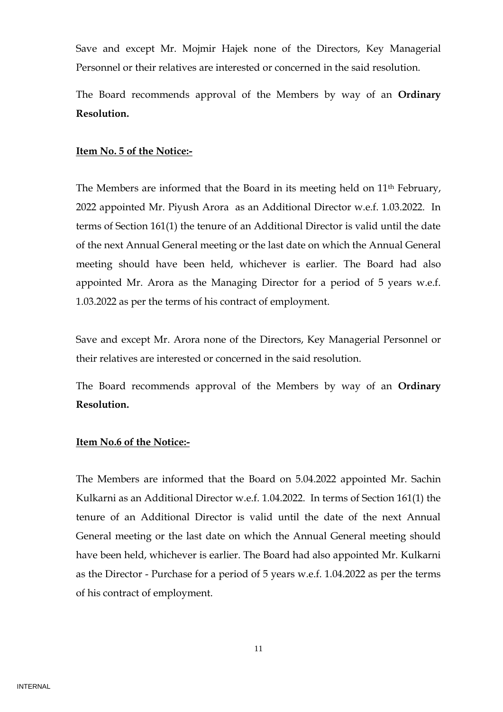Save and except Mr. Mojmir Hajek none of the Directors, Key Managerial Personnel or their relatives are interested or concerned in the said resolution.

The Board recommends approval of the Members by way of an **Ordinary Resolution.**

#### **Item No. 5 of the Notice:-**

The Members are informed that the Board in its meeting held on 11<sup>th</sup> February, 2022 appointed Mr. Piyush Arora as an Additional Director w.e.f. 1.03.2022. In terms of Section 161(1) the tenure of an Additional Director is valid until the date of the next Annual General meeting or the last date on which the Annual General meeting should have been held, whichever is earlier. The Board had also appointed Mr. Arora as the Managing Director for a period of 5 years w.e.f. 1.03.2022 as per the terms of his contract of employment.

Save and except Mr. Arora none of the Directors, Key Managerial Personnel or their relatives are interested or concerned in the said resolution.

The Board recommends approval of the Members by way of an **Ordinary Resolution.**

#### **Item No.6 of the Notice:-**

The Members are informed that the Board on 5.04.2022 appointed Mr. Sachin Kulkarni as an Additional Director w.e.f. 1.04.2022. In terms of Section 161(1) the tenure of an Additional Director is valid until the date of the next Annual General meeting or the last date on which the Annual General meeting should have been held, whichever is earlier. The Board had also appointed Mr. Kulkarni as the Director - Purchase for a period of 5 years w.e.f. 1.04.2022 as per the terms of his contract of employment.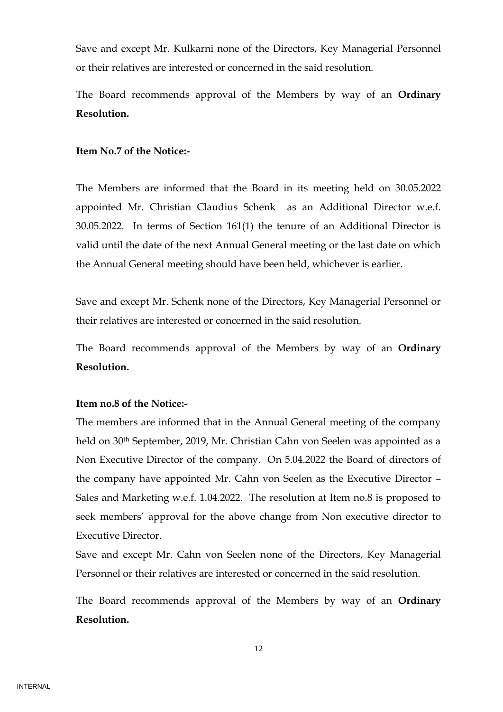Save and except Mr. Kulkarni none of the Directors, Key Managerial Personnel or their relatives are interested or concerned in the said resolution.

The Board recommends approval of the Members by way of an **Ordinary Resolution.**

#### **Item No.7 of the Notice:-**

The Members are informed that the Board in its meeting held on 30.05.2022 appointed Mr. Christian Claudius Schenk as an Additional Director w.e.f. 30.05.2022. In terms of Section 161(1) the tenure of an Additional Director is valid until the date of the next Annual General meeting or the last date on which the Annual General meeting should have been held, whichever is earlier.

Save and except Mr. Schenk none of the Directors, Key Managerial Personnel or their relatives are interested or concerned in the said resolution.

The Board recommends approval of the Members by way of an **Ordinary Resolution.**

# **Item no.8 of the Notice:-**

The members are informed that in the Annual General meeting of the company held on 30th September, 2019, Mr. Christian Cahn von Seelen was appointed as a Non Executive Director of the company. On 5.04.2022 the Board of directors of the company have appointed Mr. Cahn von Seelen as the Executive Director – Sales and Marketing w.e.f. 1.04.2022. The resolution at Item no.8 is proposed to seek members' approval for the above change from Non executive director to Executive Director.

Save and except Mr. Cahn von Seelen none of the Directors, Key Managerial Personnel or their relatives are interested or concerned in the said resolution.

The Board recommends approval of the Members by way of an **Ordinary Resolution.**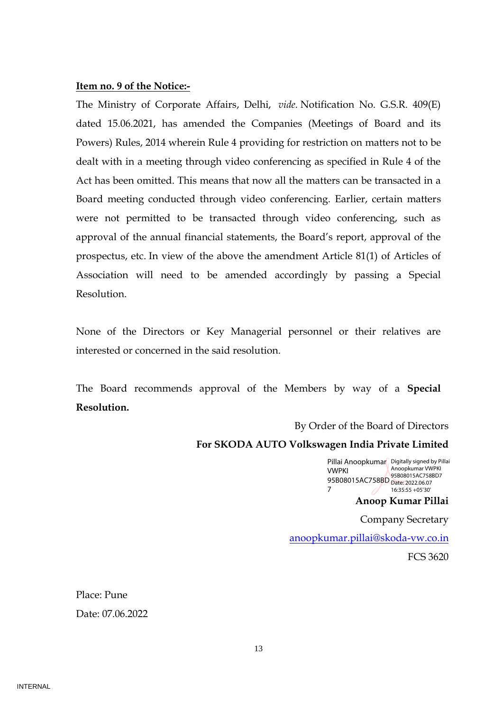#### **Item no. 9 of the Notice:-**

The Ministry of Corporate Affairs, Delhi, *vide.* Notification No. G.S.R. 409(E) dated 15.06.2021, has amended the Companies (Meetings of Board and its Powers) Rules, 2014 wherein Rule 4 providing for restriction on matters not to be dealt with in a meeting through video conferencing as specified in Rule 4 of the Act has been omitted. This means that now all the matters can be transacted in a Board meeting conducted through video conferencing. Earlier, certain matters were not permitted to be transacted through video conferencing, such as approval of the annual financial statements, the Board's report, approval of the prospectus, etc. In view of the above the amendment Article 81(1) of Articles of Association will need to be amended accordingly by passing a Special Resolution.

None of the Directors or Key Managerial personnel or their relatives are interested or concerned in the said resolution.

The Board recommends approval of the Members by way of a **Special Resolution.**

By Order of the Board of Directors

#### **For SKODA AUTO Volkswagen India Private Limited**

Pillai Anoopkumar Digitally signed by Pillai VWPKI 95B08015AC758BD Date: 2022.06.07 7 Anoopkumar VWPKI 95B08015AC758BD7 16:35:55 +05'30'

**Anoop Kumar Pillai**

Company Secretary

[anoopkumar.pillai@skoda-vw.co.in](mailto:anoopkumar.pillai@skoda-vw.co.in)

FCS 3620

Place: Pune Date: 07.06.2022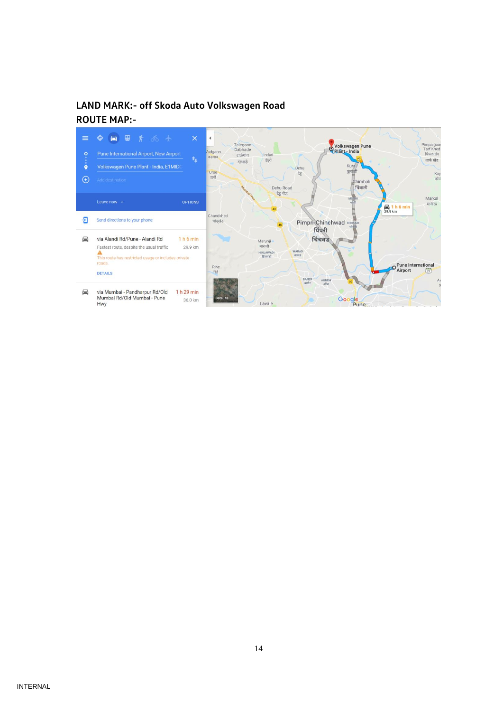# **LAND MARK:- off Skoda Auto Volkswagen Road ROUTE MAP:-**

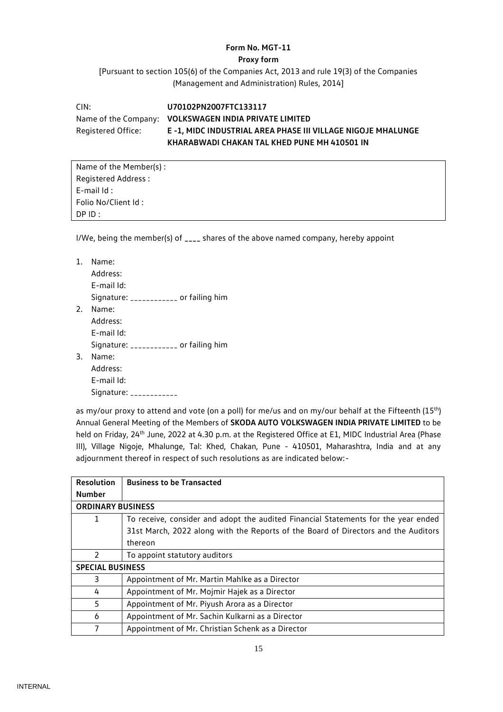#### **Form No. MGT-11**

#### **Proxy form**

[Pursuant to section 105(6) of the Companies Act, 2013 and rule 19(3) of the Companies (Management and Administration) Rules, 2014]

CIN: **U70102PN2007FTC133117** Name of the Company: **VOLKSWAGEN INDIA PRIVATE LIMITED** Registered Office: **E -1, MIDC INDUSTRIAL AREA PHASE III VILLAGE NIGOJE MHALUNGE KHARABWADI CHAKAN TAL KHED PUNE MH 410501 IN**

Name of the Member(s) : Registered Address : E-mail Id : Folio No/Client Id : DP ID :

I/We, being the member(s) of **\_\_\_\_** shares of the above named company, hereby appoint

| 1. | Name:                                  |
|----|----------------------------------------|
|    | Address:                               |
|    | E-mail Id:                             |
|    | Signature: ____________ or failing him |
| 2. | Name:                                  |
|    | Address:                               |
|    | E-mail Id:                             |
|    | Signature: ___________ or failing him  |
| 3. | Name:                                  |
|    | Address:                               |
|    | E-mail Id:                             |
|    | Signature: ____________                |

as my/our proxy to attend and vote (on a poll) for me/us and on my/our behalf at the Fifteenth (15<sup>th</sup>) Annual General Meeting of the Members of **SKODA AUTO VOLKSWAGEN INDIA PRIVATE LIMITED** to be held on Friday, 24<sup>th</sup> June, 2022 at 4.30 p.m. at the Registered Office at E1, MIDC Industrial Area (Phase III), Village Nigoje, Mhalunge, Tal: Khed, Chakan, Pune - 410501, Maharashtra, India and at any adjournment thereof in respect of such resolutions as are indicated below:-

| <b>Resolution</b>        | <b>Business to be Transacted</b>                                                   |  |  |  |  |
|--------------------------|------------------------------------------------------------------------------------|--|--|--|--|
| <b>Number</b>            |                                                                                    |  |  |  |  |
| <b>ORDINARY BUSINESS</b> |                                                                                    |  |  |  |  |
| 1                        | To receive, consider and adopt the audited Financial Statements for the year ended |  |  |  |  |
|                          | 31st March, 2022 along with the Reports of the Board of Directors and the Auditors |  |  |  |  |
|                          | thereon                                                                            |  |  |  |  |
| $\mathcal{P}$            | To appoint statutory auditors                                                      |  |  |  |  |
| <b>SPECIAL BUSINESS</b>  |                                                                                    |  |  |  |  |
| 3                        | Appointment of Mr. Martin Mahlke as a Director                                     |  |  |  |  |
| 4                        | Appointment of Mr. Mojmir Hajek as a Director                                      |  |  |  |  |
| 5                        | Appointment of Mr. Piyush Arora as a Director                                      |  |  |  |  |
| 6                        | Appointment of Mr. Sachin Kulkarni as a Director                                   |  |  |  |  |
|                          | Appointment of Mr. Christian Schenk as a Director                                  |  |  |  |  |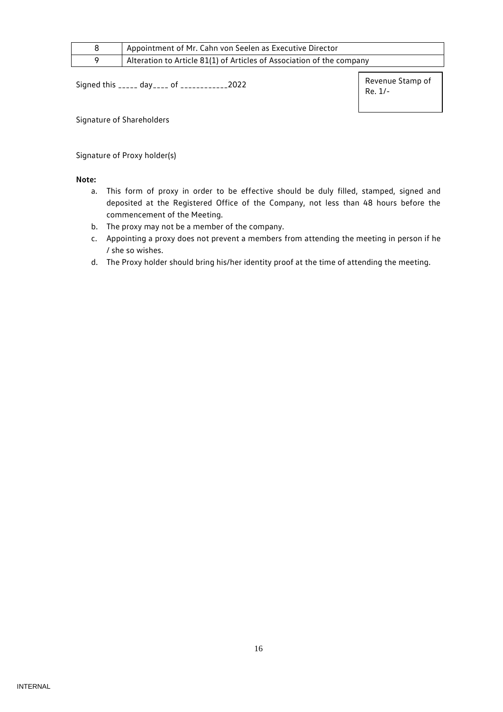| Appointment of Mr. Cahn von Seelen as Executive Director              |
|-----------------------------------------------------------------------|
| Alteration to Article 81(1) of Articles of Association of the company |

Signed this \_\_\_\_\_ day\_\_\_\_ of \_\_\_\_\_\_\_\_\_\_\_\_2022

Revenue Stamp of Re. 1/-

Signature of Shareholders

Signature of Proxy holder(s)

#### **Note:**

- a. This form of proxy in order to be effective should be duly filled, stamped, signed and deposited at the Registered Office of the Company, not less than 48 hours before the commencement of the Meeting.
- b. The proxy may not be a member of the company.
- c. Appointing a proxy does not prevent a members from attending the meeting in person if he / she so wishes.
- d. The Proxy holder should bring his/her identity proof at the time of attending the meeting.